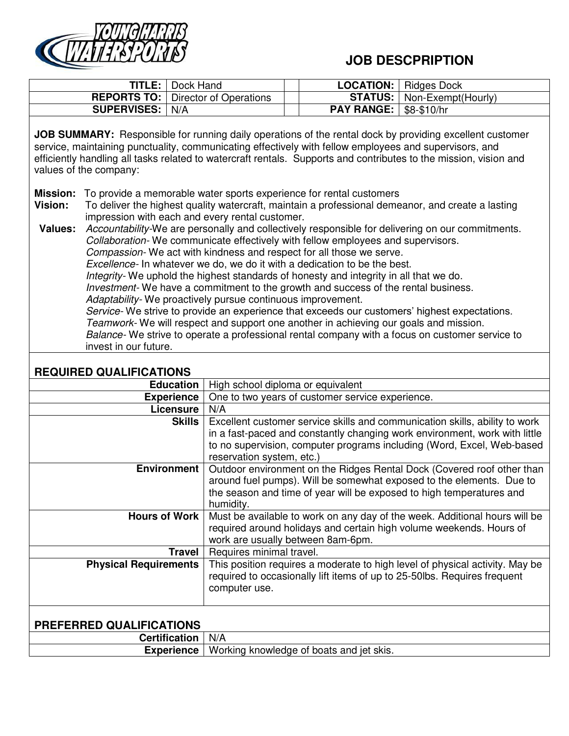

## **JOB DESCPRIPTION**

|                          | <b>TITLE:</b>   Dock Hand                   |                                 | <b>LOCATION:</b>   Ridges Dock      |
|--------------------------|---------------------------------------------|---------------------------------|-------------------------------------|
|                          | <b>REPORTS TO:</b>   Director of Operations |                                 | <b>STATUS:</b>   Non-Exempt(Hourly) |
| <b>SUPERVISES:   N/A</b> |                                             | <b>PAY RANGE:   \$8-\$10/hr</b> |                                     |
|                          |                                             |                                 |                                     |

**JOB SUMMARY:** Responsible for running daily operations of the rental dock by providing excellent customer service, maintaining punctuality, communicating effectively with fellow employees and supervisors, and efficiently handling all tasks related to watercraft rentals. Supports and contributes to the mission, vision and values of the company:

- **Mission:** To provide a memorable water sports experience for rental customers
- **Vision:** To deliver the highest quality watercraft, maintain a professional demeanor, and create a lasting impression with each and every rental customer.

**Values:** *Accountability-*We are personally and collectively responsible for delivering on our commitments. *Collaboration-* We communicate effectively with fellow employees and supervisors. *Compassion-* We act with kindness and respect for all those we serve*. Excellence-* In whatever we do, we do it with a dedication to be the best. *Integrity-* We uphold the highest standards of honesty and integrity in all that we do. *Investment-* We have a commitment to the growth and success of the rental business. *Adaptability-* We proactively pursue continuous improvement. *Service-* We strive to provide an experience that exceeds our customers' highest expectations. *Teamwork-* We will respect and support one another in achieving our goals and mission. *Balance-* We strive to operate a professional rental company with a focus on customer service to invest in our future.

## **REQUIRED QUALIFICATIONS**

| <b>Education</b>                | High school diploma or equivalent                                                                                                                                                                                                                                |  |
|---------------------------------|------------------------------------------------------------------------------------------------------------------------------------------------------------------------------------------------------------------------------------------------------------------|--|
| <b>Experience</b>               | One to two years of customer service experience.                                                                                                                                                                                                                 |  |
| Licensure                       | N/A                                                                                                                                                                                                                                                              |  |
| <b>Skills</b>                   | Excellent customer service skills and communication skills, ability to work<br>in a fast-paced and constantly changing work environment, work with little<br>to no supervision, computer programs including (Word, Excel, Web-based<br>reservation system, etc.) |  |
| <b>Environment</b>              | Outdoor environment on the Ridges Rental Dock (Covered roof other than<br>around fuel pumps). Will be somewhat exposed to the elements. Due to<br>the season and time of year will be exposed to high temperatures and<br>humidity.                              |  |
| <b>Hours of Work</b>            | Must be available to work on any day of the week. Additional hours will be<br>required around holidays and certain high volume weekends. Hours of<br>work are usually between 8am-6pm.                                                                           |  |
| Travel                          | Requires minimal travel.                                                                                                                                                                                                                                         |  |
| <b>Physical Requirements</b>    | This position requires a moderate to high level of physical activity. May be<br>required to occasionally lift items of up to 25-50lbs. Requires frequent<br>computer use.                                                                                        |  |
| <b>PREFERRED QUALIFICATIONS</b> |                                                                                                                                                                                                                                                                  |  |
| <b>Certification</b>            | N/A                                                                                                                                                                                                                                                              |  |
| <b>Experience</b>               | Working knowledge of boats and jet skis.                                                                                                                                                                                                                         |  |